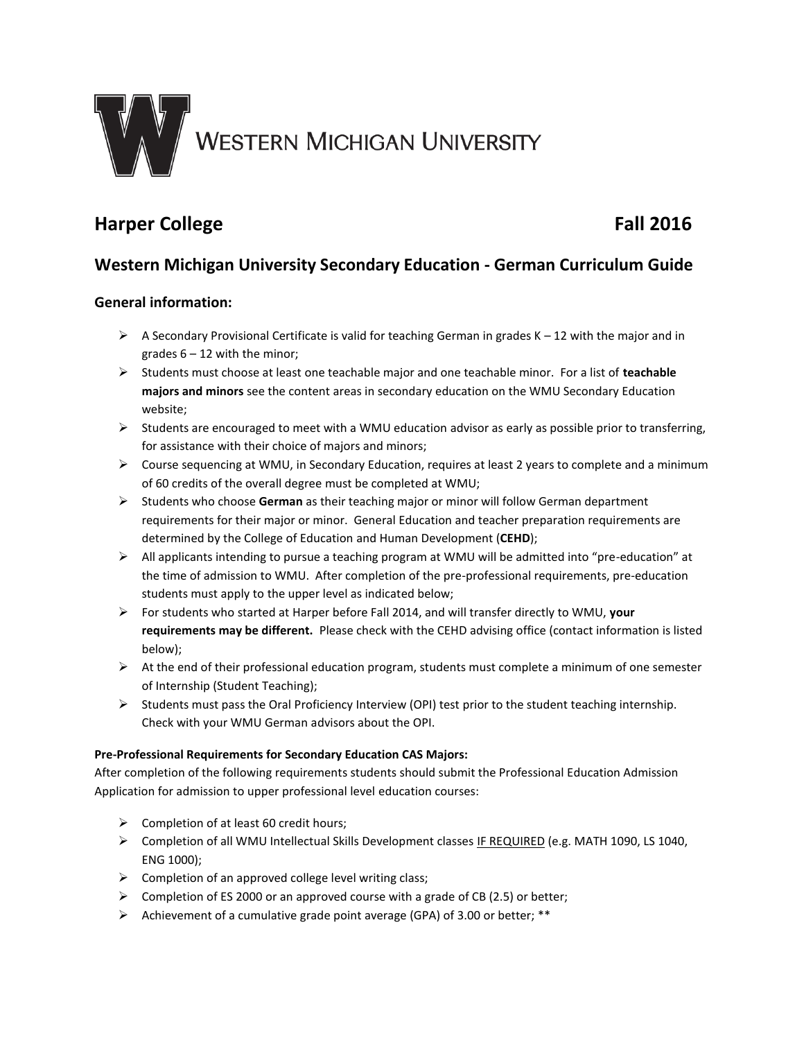

# **Harper College Fall 2016**

# **Western Michigan University Secondary Education - German Curriculum Guide**

# **General information:**

- $\triangleright$  A Secondary Provisional Certificate is valid for teaching German in grades K 12 with the major and in grades  $6 - 12$  with the minor;
- Students must choose at least one teachable major and one teachable minor. For a list of **teachable majors and minors** see the content areas in secondary education on the WMU Secondary Education website;
- $\triangleright$  Students are encouraged to meet with a WMU education advisor as early as possible prior to transferring, for assistance with their choice of majors and minors;
- $\triangleright$  Course sequencing at WMU, in Secondary Education, requires at least 2 years to complete and a minimum of 60 credits of the overall degree must be completed at WMU;
- Students who choose **German** as their teaching major or minor will follow German department requirements for their major or minor. General Education and teacher preparation requirements are determined by the College of Education and Human Development (**CEHD**);
- All applicants intending to pursue a teaching program at WMU will be admitted into "pre-education" at the time of admission to WMU. After completion of the pre-professional requirements, pre-education students must apply to the upper level as indicated below;
- For students who started at Harper before Fall 2014, and will transfer directly to WMU, **your requirements may be different.** Please check with the CEHD advising office (contact information is listed below);
- $\triangleright$  At the end of their professional education program, students must complete a minimum of one semester of Internship (Student Teaching);
- $\triangleright$  Students must pass the Oral Proficiency Interview (OPI) test prior to the student teaching internship. Check with your WMU German advisors about the OPI.

## **Pre-Professional Requirements for Secondary Education CAS Majors:**

After completion of the following requirements students should submit the Professional Education Admission Application for admission to upper professional level education courses:

- $\triangleright$  Completion of at least 60 credit hours;
- Completion of all WMU Intellectual Skills Development classes IF REQUIRED (e.g. MATH 1090, LS 1040, ENG 1000);
- $\triangleright$  Completion of an approved college level writing class;
- $\triangleright$  Completion of ES 2000 or an approved course with a grade of CB (2.5) or better;
- $\triangleright$  Achievement of a cumulative grade point average (GPA) of 3.00 or better; \*\*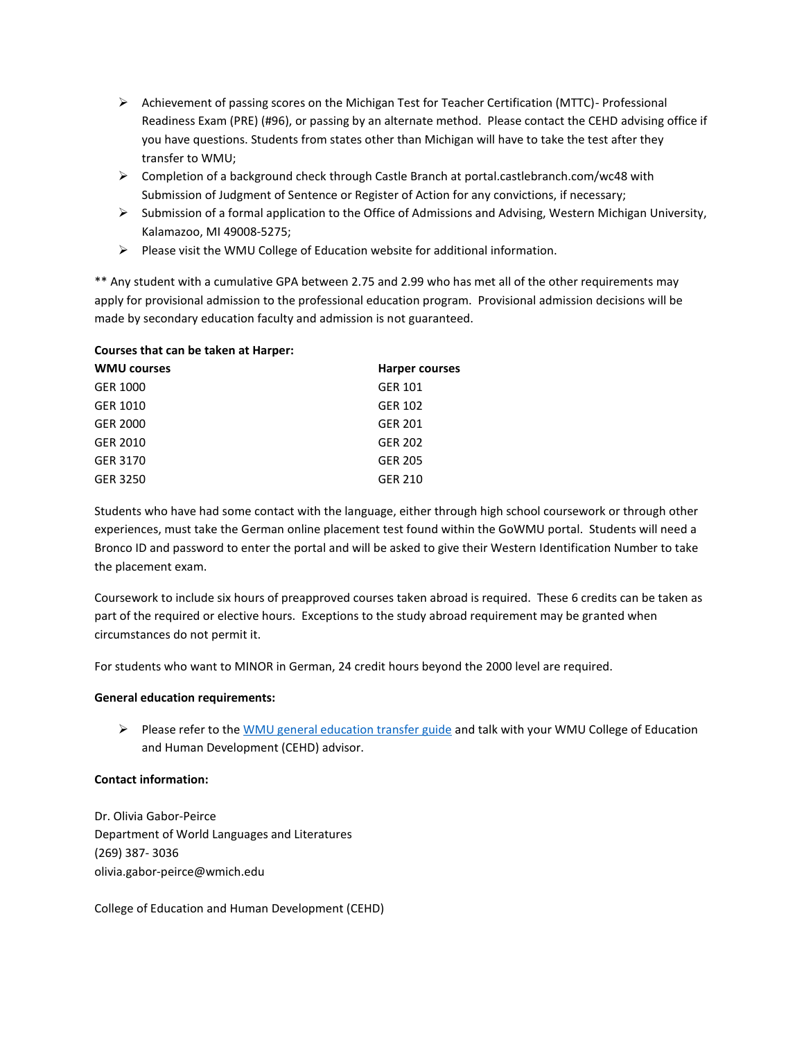- $\triangleright$  Achievement of passing scores on the Michigan Test for Teacher Certification (MTTC)- Professional Readiness Exam (PRE) (#96), or passing by an alternate method. Please contact the CEHD advising office if you have questions. Students from states other than Michigan will have to take the test after they transfer to WMU;
- $\triangleright$  Completion of a background check through Castle Branch at portal.castlebranch.com/wc48 with Submission of Judgment of Sentence or Register of Action for any convictions, if necessary;
- $\triangleright$  Submission of a formal application to the Office of Admissions and Advising, Western Michigan University, Kalamazoo, MI 49008-5275;
- $\triangleright$  Please visit the WMU College of Education website for additional information.

\*\* Any student with a cumulative GPA between 2.75 and 2.99 who has met all of the other requirements may apply for provisional admission to the professional education program. Provisional admission decisions will be made by secondary education faculty and admission is not guaranteed.

## **Courses that can be taken at Harper:**

| <b>WMU courses</b> | <b>Harper courses</b> |
|--------------------|-----------------------|
| GER 1000           | <b>GER 101</b>        |
| GER 1010           | <b>GER 102</b>        |
| GER 2000           | <b>GER 201</b>        |
| GER 2010           | <b>GER 202</b>        |
| GER 3170           | <b>GER 205</b>        |
| GER 3250           | <b>GER 210</b>        |
|                    |                       |

Students who have had some contact with the language, either through high school coursework or through other experiences, must take the German online placement test found within the GoWMU portal. Students will need a Bronco ID and password to enter the portal and will be asked to give their Western Identification Number to take the placement exam.

Coursework to include six hours of preapproved courses taken abroad is required. These 6 credits can be taken as part of the required or elective hours. Exceptions to the study abroad requirement may be granted when circumstances do not permit it.

For students who want to MINOR in German, 24 credit hours beyond the 2000 level are required.

#### **General education requirements:**

Please refer to the [WMU general education transfer guide](http://www.wmich.edu/admissions/transfer/guides/Harper/gened/) and talk with your WMU College of Education and Human Development (CEHD) advisor.

## **Contact information:**

Dr. Olivia Gabor-Peirce Department of World Languages and Literatures (269) 387- 3036 olivia.gabor-peirce@wmich.edu

College of Education and Human Development (CEHD)